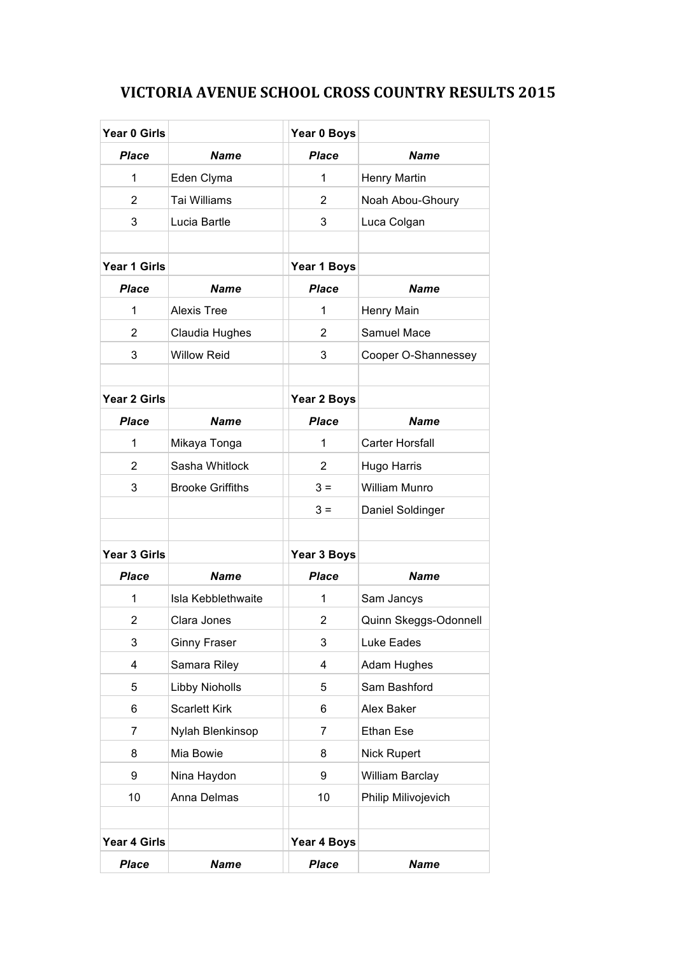## **VICTORIA AVENUE SCHOOL CROSS COUNTRY RESULTS 2015**

| Year 0 Girls   |                         | Year 0 Boys    |                        |
|----------------|-------------------------|----------------|------------------------|
| Place          | <b>Name</b>             | <b>Place</b>   | <b>Name</b>            |
| $\mathbf 1$    | Eden Clyma              | 1              | <b>Henry Martin</b>    |
| $\overline{2}$ | Tai Williams            | $\overline{2}$ | Noah Abou-Ghoury       |
| 3              | Lucia Bartle            | 3              | Luca Colgan            |
|                |                         |                |                        |
| Year 1 Girls   |                         | Year 1 Boys    |                        |
| <b>Place</b>   | <b>Name</b>             | <b>Place</b>   | Name                   |
| 1              | <b>Alexis Tree</b>      | 1              | Henry Main             |
| $\overline{2}$ | Claudia Hughes          | 2              | Samuel Mace            |
| 3              | <b>Willow Reid</b>      | 3              | Cooper O-Shannessey    |
|                |                         |                |                        |
| Year 2 Girls   |                         | Year 2 Boys    |                        |
| <b>Place</b>   | <b>Name</b>             | <b>Place</b>   | <b>Name</b>            |
| 1              | Mikaya Tonga            | 1              | <b>Carter Horsfall</b> |
| 2              | Sasha Whitlock          | 2              | Hugo Harris            |
| 3              | <b>Brooke Griffiths</b> | $3 =$          | <b>William Munro</b>   |
|                |                         | $3 =$          | Daniel Soldinger       |
|                |                         |                |                        |
| Year 3 Girls   |                         | Year 3 Boys    |                        |
| <b>Place</b>   | <b>Name</b>             | <b>Place</b>   | <b>Name</b>            |
| $\mathbf 1$    | Isla Kebblethwaite      | 1              | Sam Jancys             |
| 2              | Clara Jones             | 2              | Quinn Skeggs-Odonnell  |
| 3              | <b>Ginny Fraser</b>     | 3              | Luke Eades             |
| 4              | Samara Riley            | 4              | Adam Hughes            |
| 5              | Libby Nioholls          | 5              | Sam Bashford           |
| 6              | <b>Scarlett Kirk</b>    | 6              | Alex Baker             |
| 7              | Nylah Blenkinsop        | 7              | <b>Ethan Ese</b>       |
| 8              | Mia Bowie               | 8              | Nick Rupert            |
| 9              | Nina Haydon             | 9              | William Barclay        |
| 10             | Anna Delmas             | 10             | Philip Milivojevich    |
|                |                         |                |                        |
| Year 4 Girls   |                         | Year 4 Boys    |                        |
| <b>Place</b>   | <b>Name</b>             | <b>Place</b>   | <b>Name</b>            |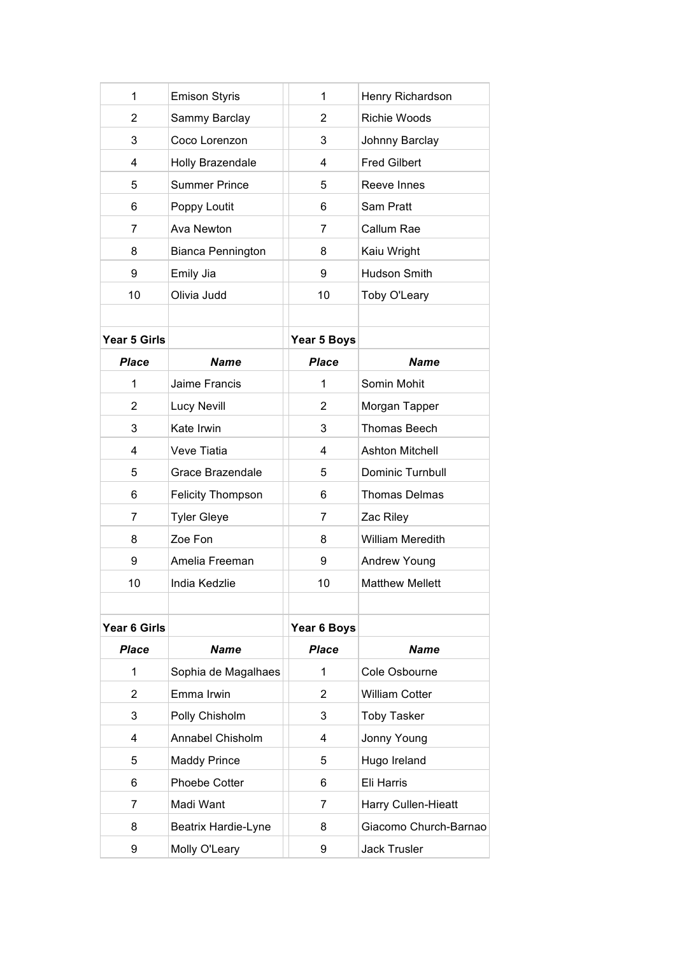| 1              | <b>Emison Styris</b>     | 1              | Henry Richardson        |
|----------------|--------------------------|----------------|-------------------------|
| 2              | Sammy Barclay            | $\overline{2}$ | <b>Richie Woods</b>     |
| 3              | Coco Lorenzon            | 3              | Johnny Barclay          |
| 4              | Holly Brazendale         | 4              | <b>Fred Gilbert</b>     |
| 5              | <b>Summer Prince</b>     | 5              | Reeve Innes             |
| 6              | Poppy Loutit             | 6              | Sam Pratt               |
| 7              | Ava Newton               | 7              | Callum Rae              |
| 8              | <b>Bianca Pennington</b> | 8              | Kaiu Wright             |
| 9              | Emily Jia                | 9              | <b>Hudson Smith</b>     |
| 10             | Olivia Judd              | 10             | Toby O'Leary            |
|                |                          |                |                         |
| Year 5 Girls   |                          | Year 5 Boys    |                         |
| <b>Place</b>   | <b>Name</b>              | <b>Place</b>   | Name                    |
| 1              | Jaime Francis            | 1              | Somin Mohit             |
| $\overline{2}$ | Lucy Nevill              | 2              | Morgan Tapper           |
| 3              | Kate Irwin               | 3              | <b>Thomas Beech</b>     |
| 4              | Veve Tiatia              | 4              | <b>Ashton Mitchell</b>  |
| 5              | Grace Brazendale         | 5              | Dominic Turnbull        |
| 6              | <b>Felicity Thompson</b> | 6              | <b>Thomas Delmas</b>    |
| 7              | <b>Tyler Gleye</b>       | 7              | Zac Riley               |
| 8              | Zoe Fon                  | 8              | <b>William Meredith</b> |
| 9              | Amelia Freeman           | 9              | Andrew Young            |
| 10             | India Kedzlie            | 10             | <b>Matthew Mellett</b>  |
|                |                          |                |                         |
| Year 6 Girls   |                          | Year 6 Boys    |                         |
| <b>Place</b>   | <b>Name</b>              | Place          | <b>Name</b>             |
| 1              | Sophia de Magalhaes      | 1              | Cole Osbourne           |
| $\overline{2}$ | Emma Irwin               | $\overline{2}$ | <b>William Cotter</b>   |
| 3              | Polly Chisholm           | 3              | <b>Toby Tasker</b>      |
| 4              | Annabel Chisholm         | 4              | Jonny Young             |
| 5              | <b>Maddy Prince</b>      | 5              | Hugo Ireland            |
| 6              | Phoebe Cotter            | 6              | Eli Harris              |
| 7              | Madi Want                | 7              | Harry Cullen-Hieatt     |
| 8              | Beatrix Hardie-Lyne      | 8              | Giacomo Church-Barnao   |
| 9              | Molly O'Leary            | 9              | <b>Jack Trusler</b>     |